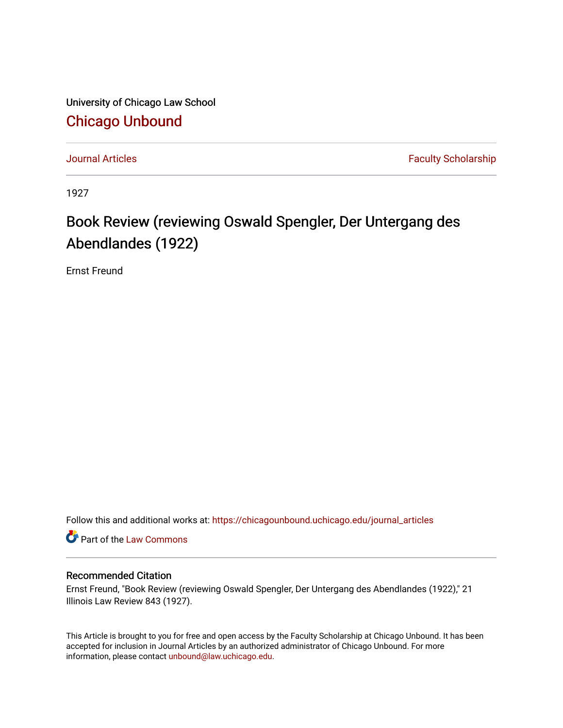University of Chicago Law School [Chicago Unbound](https://chicagounbound.uchicago.edu/)

[Journal Articles](https://chicagounbound.uchicago.edu/journal_articles) **Faculty Scholarship Journal Articles** 

1927

## Book Review (reviewing Oswald Spengler, Der Untergang des Abendlandes (1922)

Ernst Freund

Follow this and additional works at: [https://chicagounbound.uchicago.edu/journal\\_articles](https://chicagounbound.uchicago.edu/journal_articles?utm_source=chicagounbound.uchicago.edu%2Fjournal_articles%2F7800&utm_medium=PDF&utm_campaign=PDFCoverPages) 

Part of the [Law Commons](http://network.bepress.com/hgg/discipline/578?utm_source=chicagounbound.uchicago.edu%2Fjournal_articles%2F7800&utm_medium=PDF&utm_campaign=PDFCoverPages)

## Recommended Citation

Ernst Freund, "Book Review (reviewing Oswald Spengler, Der Untergang des Abendlandes (1922)," 21 Illinois Law Review 843 (1927).

This Article is brought to you for free and open access by the Faculty Scholarship at Chicago Unbound. It has been accepted for inclusion in Journal Articles by an authorized administrator of Chicago Unbound. For more information, please contact [unbound@law.uchicago.edu](mailto:unbound@law.uchicago.edu).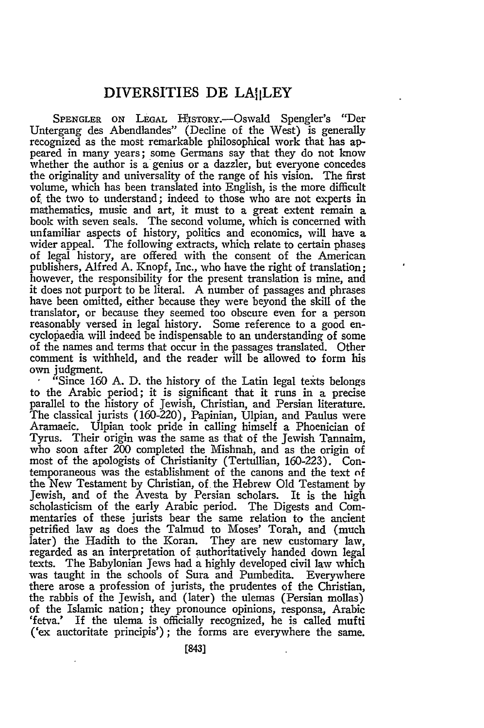## **DIVERSITIES DE LAIILEY**

SPENGLER ON LEGAL HISTORY.--Oswald Spengler's "Der Untergang des Abendlandes" (Decline of the West) is generally recognized as the most remarkable philosophical work that has appeared in many years; some Germans say that they do not know whether the author is a genius or a dazzler, but everyone concedes the originality and universality of the range of his vision. The first volume, which has been translated into English, is the more difficult *of.* the two to understand; indeed to those who are not experts in mathematics, music and art, it must to a great extent remain a book with seven seals. The second volume, which is concerned with unfamiliar aspects of history, politics and economics, will have a wider appeal. The following extracts, which relate to certain phases of legal history, are offered with the consent of the American publishers, Alfred A. Knopf, Inc., who have the right of translation; however, the responsibility for the present translation is mine, and it does not purport to be literal. A number of passages and phrases have been omitted, either because they were beyond the skill of the translator, or because they seemed too obscure even for a person reasonably versed in legal history. Some reference to a good encyclopaedia will indeed be indispensable to an understanding of some of the names and terms that occur in the passages translated. Other comment is withheld, and the reader will be allowed to form his own judgment.

"Since 160 A. D. the history of the Latin legal texts belongs to the Arabic period; it is significant that it runs in a precise parallel to the history of Jewish, Christian, and Persian literature. The classical jurists (160-220), Papinian, Ulpian, and Paulus were Aramaeic. Ulpian took pride in calling himself a Phoenician of Tyrus. Their origin was the same as that of the Jewish Tannaim, who soon after 200 completed the Mishnah, and as the origin of most of the apologists of Christianity (Tertullian, 160-223). Contemporaneous was the establishment of the canons and the text of the New Testament by Christian, of the Hebrew Old Testament by Jewish, and of the Avesta by Persian scholars. It is the high scholasticism of the early Arabic period. The Digests and Commentaries of these jurists bear the same relation to the ancient petrified law as does the Talmud to Moses' Torah, and (much later) the Hadith to the Koran. They are new customary law, regarded as an interpretation of authoritatively handed down legal texts. The Babylonian Jews had a highly developed civil law which was taught in the schools of Sura and Pumbedita. Everywhere there arose a profession of jurists, the prudentes of the Christian, the rabbis of the Jewish, and (later) the ulemas (Persian mollas) of the Islamic nation; they pronounce opinions, responsa, Arabic 'fetva.' If the ulema is officially recognized, he is called mufti ('ex auctoritate principis'); the forms are everywhere the same.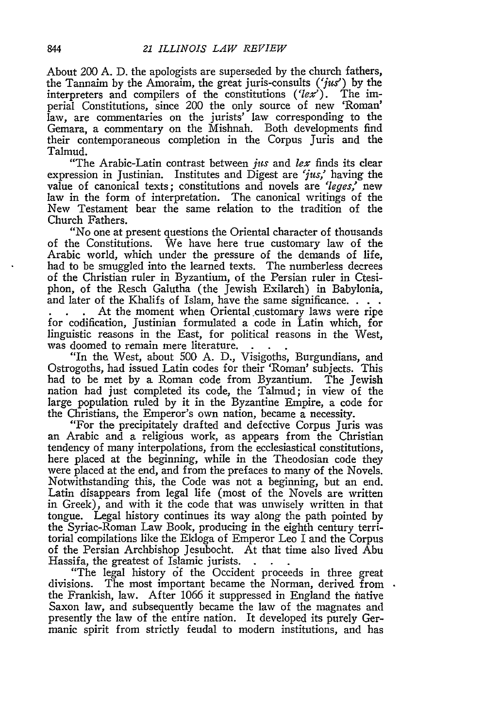About 200 **A.** D. the apologists are superseded by the church fathers, the Tannaim by the Amoraim, the great juris-consults  $('jus')$  by the interpreters and compilers of the constitutions ( $\langle lex' \rangle$ . The imperial Constitutions, since 200 the only source of new 'Roman' law, are commentaries on the jurists' law corresponding to the Gemara, a commentary on the Mishnah. Both developments find their contemporaneous completion in the Corpus Juris and the Talmud.

"The Arabic-Latin contrast between *jus* and *lex* finds its clear expression in Justinian. Institutes and Digest are 'jus,' having the value of canonical texts; constitutions and novels are *'leges,'* new law in the form of interpretation. The canonical writings of the New Testament bear the same relation to the tradition of the Church Fathers.

"No one at present questions the Oriental character of thousands of the Constitutions. We have here true customary law of the Arabic world, which under the pressure of the demands of life, had to be smuggled into the learned texts. The numberless decrees of the Christian ruler in Byzantium, of the Persian ruler in Ctesiphon, of the Resch Galutha (the Jewish Exilarch) in Babylonia, and later of the Khalifs of Islam, have the same significance. . . . .<br> **At the moment when Oriental customary laws were ripe** 

for codification, Justinian formulated a code in Latin which, for linguistic reasons in the East, for political reasons in the West, was doomed to remain mere literature.

"In the West, about 500 A. D., Visigoths, Burgundians, and Ostrogoths, had issued Latin codes for their 'Roman' subjects. This had to be met by a Roman code from Byzantium. The Jewish nation had just completed its code, the Talmud; in view of the large population ruled by it in the Byzantine Empire, a code for the Christians, the Emperor's own nation, became a necessity.

"For the precipitately drafted and defective Corpus Juris was an Arabic and a religious work, as appears from the Christian tendency of many interpolations, from the ecclesiastical constitutions, here placed at the beginning, while in the Theodosian code they were placed at the end, and from the prefaces to many of the Novels. Notwithstanding this, the Code was not a beginning, but an end. Latin disappears from legal life (most of the Novels are written in Greek), and with it the code that was unwisely written in that tongue. Legal history continues its way along the path pointed by the Syriac-Roman Law Book, producing in the eighth century territorial compilations like the Ekloga of Emperor Leo I and the Corpus of the Persian Archbishop Jesubocht. At that time also lived Abu Hassifa, the greatest of Islamic jurists.

"The legal history of the Occident proceeds in three great divisions. The most important became the Norman, derived from the Frankish, law. After 1066 it suppressed in England the fhative Saxon law, and subsequently became the law of the magnates and presently the law of the entire nation. It developed its purely Germanic spirit from strictly feudal to modern institutions, and has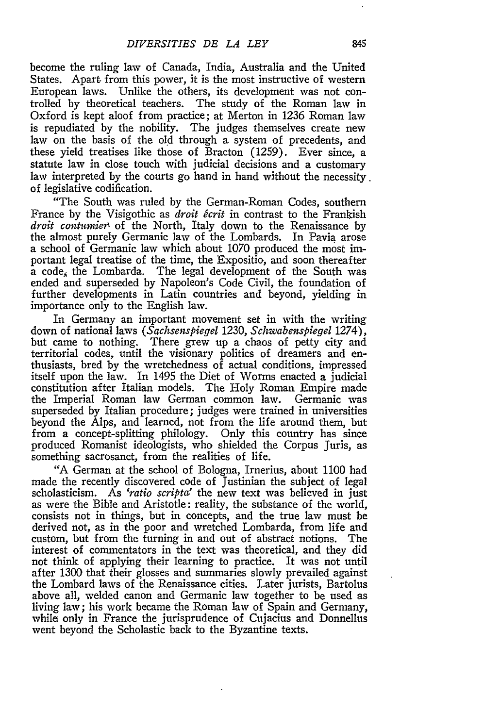become the ruling law of Canada, India, Australia and the United States. Apart from this power, it is the most instructive of western European laws. Unlike the others, its development was not controlled by theoretical teachers. The study of the Roman law in Oxford is kept aloof from practice; at Merton in 1236 Roman law is repudiated by the nobility. The judges themselves create new law on the basis of the old through a system of precedents, and these yield treatises like those of Bracton (1259). Ever since, a statute law in close touch with judicial decisions and a customary law interpreted by the courts go hand in hand without the necessity. of legislative codification.

"The South was ruled by the German-Roman Codes, southern France by the Visigothic as *droit 6crit* in contrast to the Frankish *droit contumier* of the North, Italy down to the Renaissance by the almost purely Germanic law of the Lombards. In Pavia arose a school of Germanic law which about 1070 produced the most important legal treatise of the time, the Expositio, and soon thereafter  $\mathbf{\hat{a}}$  code, the Lombarda. The legal development of the South was ended and superseded by Napoleon's Code Civil, the foundation of further developments in Latin countries and beyond, yielding in importance only to the English law.

In Germany an important movement set in with the writing down of national laws *(Sachsenspiegel* 1230, *Schwabenspiegel* 1274), but came to nothing. There grew up a chaos of petty city and territorial codes, until the visionary politics of dreamers and enthusiasts, bred **by** the wretchedness of actual conditions, impressed itself upon the law. In 1495 the Diet of Worms enacted a judicial constitution after Italian models. The Holy Roman Empire made the Imperial Roman law German common law. Germanic was superseded **by** Italian procedure; judges were trained in universities beyond the Alps, and learned, not from the life around them, but from a concept-splitting philology. Only this country has since produced Romanist ideologists, who shielded the Corpus Juris, as something sacrosanct, from the realities of life.

"A German at the school of Bologna, Irnerius, about 1100 had made the recently discovered code of Justinian the subject of legal scholasticism. As *'ratio scripta'* the new text was believed in just as were the Bible and Aristotle: reality, the substance of the world, consists not in things, but in concepts, and the true law must be derived not, as in the poor and wretched Lombarda, from life and custom, but from the turning in and out of abstract notions. The interest of commentators in the text was theoretical, and they did not think of applying their learning to practice. It was not until after 1300 that their glosses and summaries slowly prevailed against the Lombard laws of the Renaissance cities. Later jurists, Bartolus above all, welded canon and Germanic law together to be used as living law; his work became the Roman law of Spain and Germany, while only in France the jurisprudence of Cujacius and Donnellus went beyond the Scholastic back to the Byzantine texts.